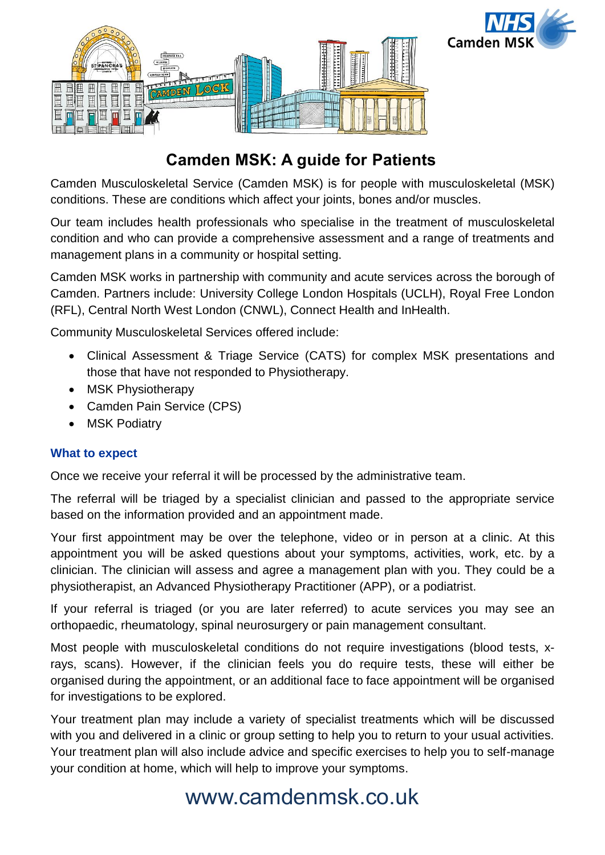



# **Camden MSK: A guide for Patients**

Camden Musculoskeletal Service (Camden MSK) is for people with musculoskeletal (MSK) conditions. These are conditions which affect your joints, bones and/or muscles.

Our team includes health professionals who specialise in the treatment of musculoskeletal condition and who can provide a comprehensive assessment and a range of treatments and management plans in a community or hospital setting.

Camden MSK works in partnership with community and acute services across the borough of Camden. Partners include: University College London Hospitals (UCLH), Royal Free London (RFL), Central North West London (CNWL), Connect Health and InHealth.

Community Musculoskeletal Services offered include:

- Clinical Assessment & Triage Service (CATS) for complex MSK presentations and those that have not responded to Physiotherapy.
- MSK Physiotherapy
- Camden Pain Service (CPS)
- MSK Podiatry

# **What to expect**

Once we receive your referral it will be processed by the administrative team.

The referral will be triaged by a specialist clinician and passed to the appropriate service based on the information provided and an appointment made.

Your first appointment may be over the telephone, video or in person at a clinic. At this appointment you will be asked questions about your symptoms, activities, work, etc. by a clinician. The clinician will assess and agree a management plan with you. They could be a physiotherapist, an Advanced Physiotherapy Practitioner (APP), or a podiatrist.

If your referral is triaged (or you are later referred) to acute services you may see an orthopaedic, rheumatology, spinal neurosurgery or pain management consultant.

Most people with musculoskeletal conditions do not require investigations (blood tests, xrays, scans). However, if the clinician feels you do require tests, these will either be organised during the appointment, or an additional face to face appointment will be organised for investigations to be explored.

Your treatment plan may include a variety of specialist treatments which will be discussed with you and delivered in a clinic or group setting to help you to return to your usual activities. Your treatment plan will also include advice and specific exercises to help you to self-manage your condition at home, which will help to improve your symptoms.

# www.camdenmsk.co.uk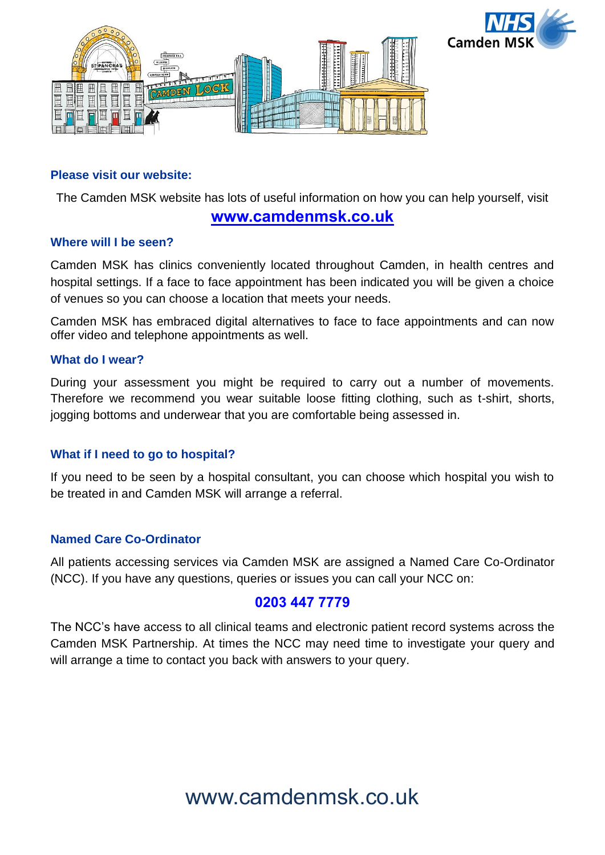



### **Please visit our website:**

The Camden MSK website has lots of useful information on how you can help yourself, visit

# **[www.camdenmsk.co.uk](http://www.camdenmsk.co.uk/)**

### **Where will I be seen?**

Camden MSK has clinics conveniently located throughout Camden, in health centres and hospital settings. If a face to face appointment has been indicated you will be given a choice of venues so you can choose a location that meets your needs.

Camden MSK has embraced digital alternatives to face to face appointments and can now offer video and telephone appointments as well.

### **What do I wear?**

During your assessment you might be required to carry out a number of movements. Therefore we recommend you wear suitable loose fitting clothing, such as t-shirt, shorts, jogging bottoms and underwear that you are comfortable being assessed in.

# **What if I need to go to hospital?**

If you need to be seen by a hospital consultant, you can choose which hospital you wish to be treated in and Camden MSK will arrange a referral.

### **Named Care Co-Ordinator**

All patients accessing services via Camden MSK are assigned a Named Care Co-Ordinator (NCC). If you have any questions, queries or issues you can call your NCC on:

# **0203 447 7779**

The NCC's have access to all clinical teams and electronic patient record systems across the Camden MSK Partnership. At times the NCC may need time to investigate your query and will arrange a time to contact you back with answers to your query.

# www.camdenmsk.co.uk